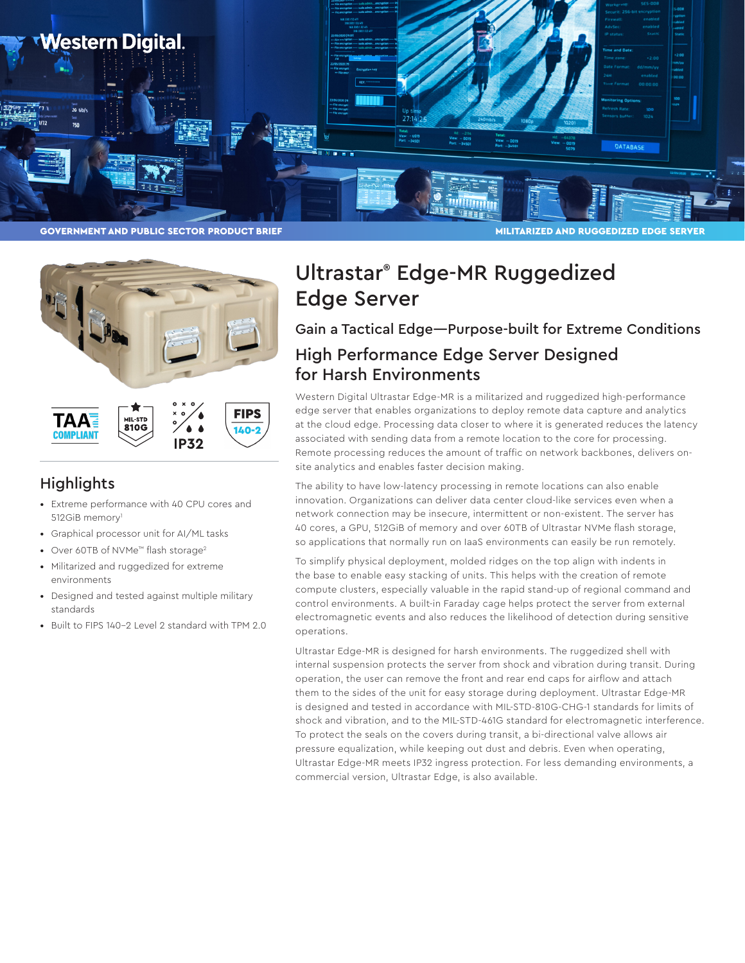



**FIPS TAA** 8100  $140 - 2$ **COMPLIANT IP32** 

#### **Highlights**

- Extreme performance with 40 CPU cores and 512GiB memory<sup>1</sup>
- Graphical processor unit for AI/ML tasks
- Over 60TB of NVMe™ flash storage2
- Militarized and ruggedized for extreme environments
- Designed and tested against multiple military standards
- Built to FIPS 140-2 Level 2 standard with TPM 2.0

# Ultrastar® Edge-MR Ruggedized Edge Server

### Gain a Tactical Edge—Purpose-built for Extreme Conditions High Performance Edge Server Designed for Harsh Environments

Western Digital Ultrastar Edge-MR is a militarized and ruggedized high-performance edge server that enables organizations to deploy remote data capture and analytics at the cloud edge. Processing data closer to where it is generated reduces the latency associated with sending data from a remote location to the core for processing. Remote processing reduces the amount of traffic on network backbones, delivers onsite analytics and enables faster decision making.

The ability to have low-latency processing in remote locations can also enable innovation. Organizations can deliver data center cloud-like services even when a network connection may be insecure, intermittent or non-existent. The server has 40 cores, a GPU, 512GiB of memory and over 60TB of Ultrastar NVMe flash storage, so applications that normally run on IaaS environments can easily be run remotely.

To simplify physical deployment, molded ridges on the top align with indents in the base to enable easy stacking of units. This helps with the creation of remote compute clusters, especially valuable in the rapid stand-up of regional command and control environments. A built-in Faraday cage helps protect the server from external electromagnetic events and also reduces the likelihood of detection during sensitive operations.

Ultrastar Edge-MR is designed for harsh environments. The ruggedized shell with internal suspension protects the server from shock and vibration during transit. During operation, the user can remove the front and rear end caps for airflow and attach them to the sides of the unit for easy storage during deployment. Ultrastar Edge-MR is designed and tested in accordance with MIL-STD-810G-CHG-1 standards for limits of shock and vibration, and to the MIL-STD-461G standard for electromagnetic interference. To protect the seals on the covers during transit, a bi-directional valve allows air pressure equalization, while keeping out dust and debris. Even when operating, Ultrastar Edge-MR meets IP32 ingress protection. For less demanding environments, a commercial version, Ultrastar Edge, is also available.